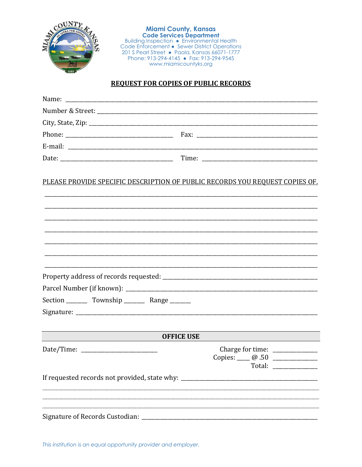

**Miami County, Kansas<br>Code Services Department**<br>Building Inspection • Environmental Health<br>Code Enforcement • Sewer District Operations<br>201 S Pearl Street • Paola, Kansas 66071-1777 Phone: 913-294-4145 • Fax: 913-294-9545 www.miamicountyks.org

## **REQUEST FOR COPIES OF PUBLIC RECORDS**

| <u>PLEASE PROVIDE SPECIFIC DESCRIPTION OF PUBLIC RECORDS YOU REQUEST COPIES OF.</u> |                   |                                                                                             |
|-------------------------------------------------------------------------------------|-------------------|---------------------------------------------------------------------------------------------|
|                                                                                     |                   |                                                                                             |
|                                                                                     |                   |                                                                                             |
|                                                                                     |                   |                                                                                             |
|                                                                                     |                   |                                                                                             |
| Section __________ Township __________ Range ________                               |                   |                                                                                             |
|                                                                                     |                   |                                                                                             |
|                                                                                     |                   |                                                                                             |
|                                                                                     | <b>OFFICE USE</b> |                                                                                             |
|                                                                                     |                   | Charge for time: _____________<br>Copies: $\_\_$ $\_\_$ .50 $\_\_$<br>Total: ______________ |
| If requested records not provided, state why: __________________________________    |                   |                                                                                             |
|                                                                                     |                   |                                                                                             |

This institution is an equal opportunity provider and employer.